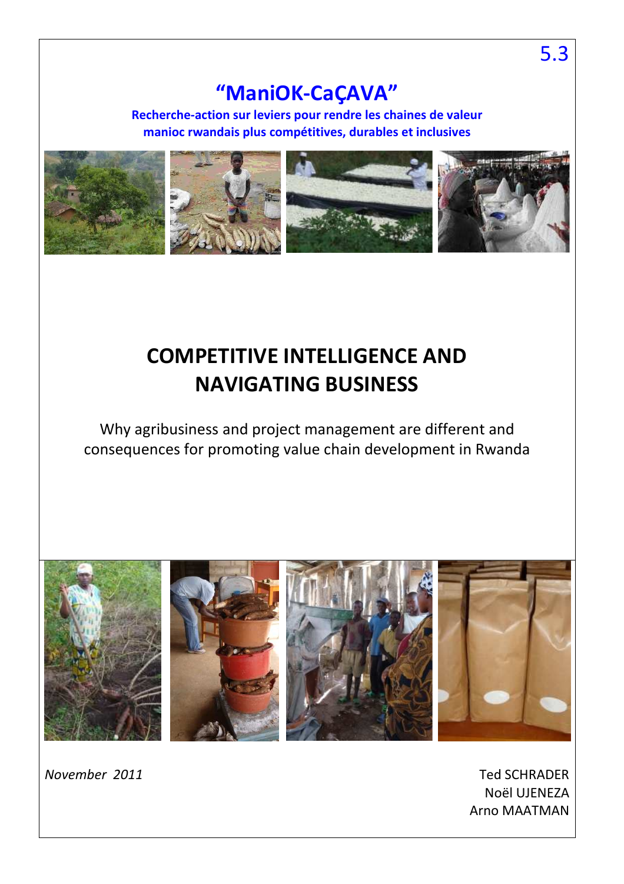# **"ManiOK-CaÇAVA"**

**Recherche-action sur leviers pour rendre les chaines de valeur manioc rwandais plus compétitives, durables et inclusives** 



# **COMPETITIVE INTELLIGENCE AND NAVIGATING BUSINESS**

Why agribusiness and project management are different and consequences for promoting value chain development in Rwanda



*November 2011* Ted SCHRADER Noël UJENEZA Arno MAATMAN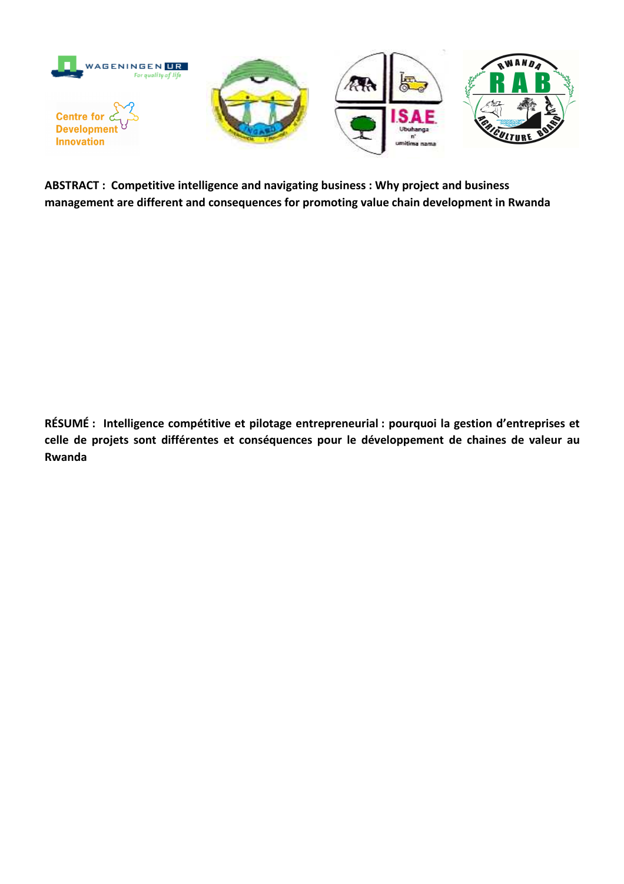

**ABSTRACT : Competitive intelligence and navigating business : Why project and business management are different and consequences for promoting value chain development in Rwanda** 

**RÉSUMÉ : Intelligence compétitive et pilotage entrepreneurial : pourquoi la gestion d'entreprises et celle de projets sont différentes et conséquences pour le développement de chaines de valeur au Rwanda**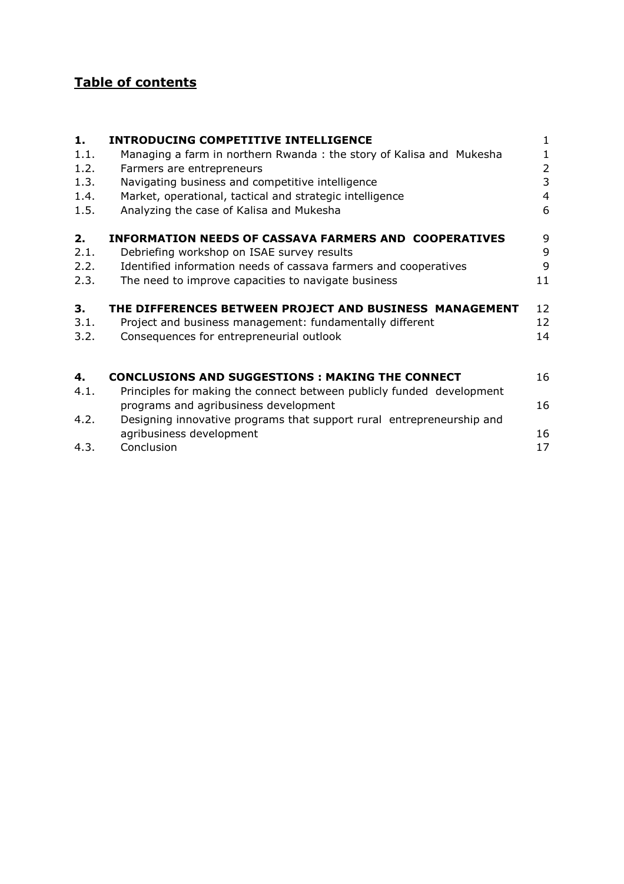## **Table of contents**

| 1.   | <b>INTRODUCING COMPETITIVE INTELLIGENCE</b>                           | $\mathbf{1}$   |
|------|-----------------------------------------------------------------------|----------------|
| 1.1. | Managing a farm in northern Rwanda: the story of Kalisa and Mukesha   | 1              |
| 1.2. | Farmers are entrepreneurs                                             | $\overline{2}$ |
| 1.3. | Navigating business and competitive intelligence                      | 3              |
| 1.4. | Market, operational, tactical and strategic intelligence              | 4              |
| 1.5. | Analyzing the case of Kalisa and Mukesha                              | 6              |
| 2.   | <b>INFORMATION NEEDS OF CASSAVA FARMERS AND COOPERATIVES</b>          | 9              |
| 2.1. | Debriefing workshop on ISAE survey results                            | 9              |
| 2.2. | Identified information needs of cassava farmers and cooperatives      | 9              |
| 2.3. | The need to improve capacities to navigate business                   | 11             |
| 3.   | THE DIFFERENCES BETWEEN PROJECT AND BUSINESS MANAGEMENT               | 12             |
| 3.1. | Project and business management: fundamentally different              | 12             |
| 3.2. | Consequences for entrepreneurial outlook                              | 14             |
| 4.   | <b>CONCLUSIONS AND SUGGESTIONS : MAKING THE CONNECT</b>               | 16             |
| 4.1. | Principles for making the connect between publicly funded development |                |
|      | programs and agribusiness development                                 | 16             |
| 4.2. | Designing innovative programs that support rural entrepreneurship and |                |
|      | agribusiness development                                              | 16             |
| 4.3. | Conclusion                                                            | 17             |

agribusines.<br>4.3. Conclusion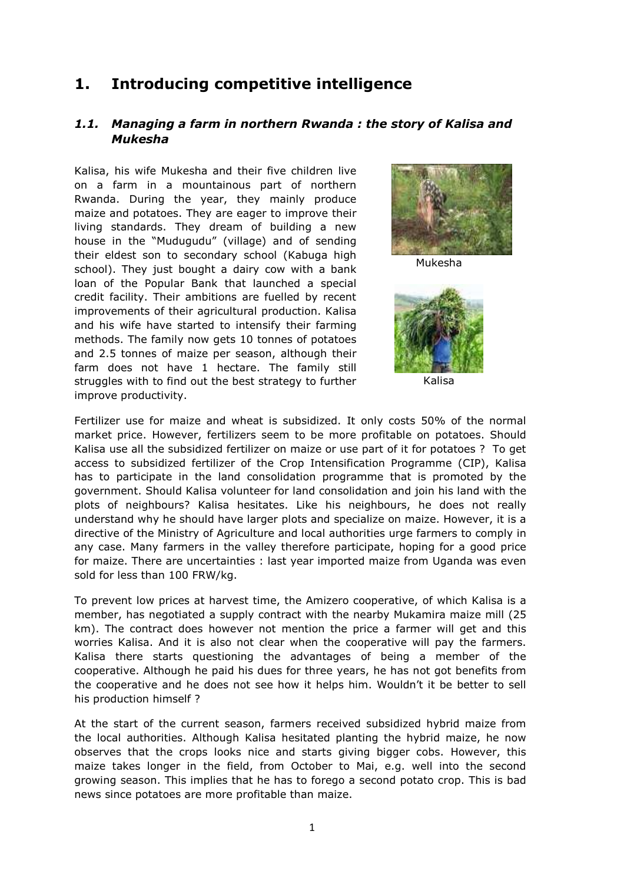## **1. Introducing competitive intelligence**

## *1.1. Managing a farm in northern Rwanda : the story of Kalisa and Mukesha*

Kalisa, his wife Mukesha and their five children live on a farm in a mountainous part of northern Rwanda. During the year, they mainly produce maize and potatoes. They are eager to improve their living standards. They dream of building a new house in the "Mudugudu" (village) and of sending their eldest son to secondary school (Kabuga high school). They just bought a dairy cow with a bank loan of the Popular Bank that launched a special credit facility. Their ambitions are fuelled by recent improvements of their agricultural production. Kalisa and his wife have started to intensify their farming methods. The family now gets 10 tonnes of potatoes and 2.5 tonnes of maize per season, although their farm does not have 1 hectare. The family still struggles with to find out the best strategy to further improve productivity.



Mukesha



Kalisa

Fertilizer use for maize and wheat is subsidized. It only costs 50% of the normal market price. However, fertilizers seem to be more profitable on potatoes. Should Kalisa use all the subsidized fertilizer on maize or use part of it for potatoes ? To get access to subsidized fertilizer of the Crop Intensification Programme (CIP), Kalisa has to participate in the land consolidation programme that is promoted by the government. Should Kalisa volunteer for land consolidation and join his land with the plots of neighbours? Kalisa hesitates. Like his neighbours, he does not really understand why he should have larger plots and specialize on maize. However, it is a directive of the Ministry of Agriculture and local authorities urge farmers to comply in any case. Many farmers in the valley therefore participate, hoping for a good price for maize. There are uncertainties : last year imported maize from Uganda was even sold for less than 100 FRW/kg.

To prevent low prices at harvest time, the Amizero cooperative, of which Kalisa is a member, has negotiated a supply contract with the nearby Mukamira maize mill (25 km). The contract does however not mention the price a farmer will get and this worries Kalisa. And it is also not clear when the cooperative will pay the farmers. Kalisa there starts questioning the advantages of being a member of the cooperative. Although he paid his dues for three years, he has not got benefits from the cooperative and he does not see how it helps him. Wouldn't it be better to sell his production himself ?

At the start of the current season, farmers received subsidized hybrid maize from the local authorities. Although Kalisa hesitated planting the hybrid maize, he now observes that the crops looks nice and starts giving bigger cobs. However, this maize takes longer in the field, from October to Mai, e.g. well into the second growing season. This implies that he has to forego a second potato crop. This is bad news since potatoes are more profitable than maize.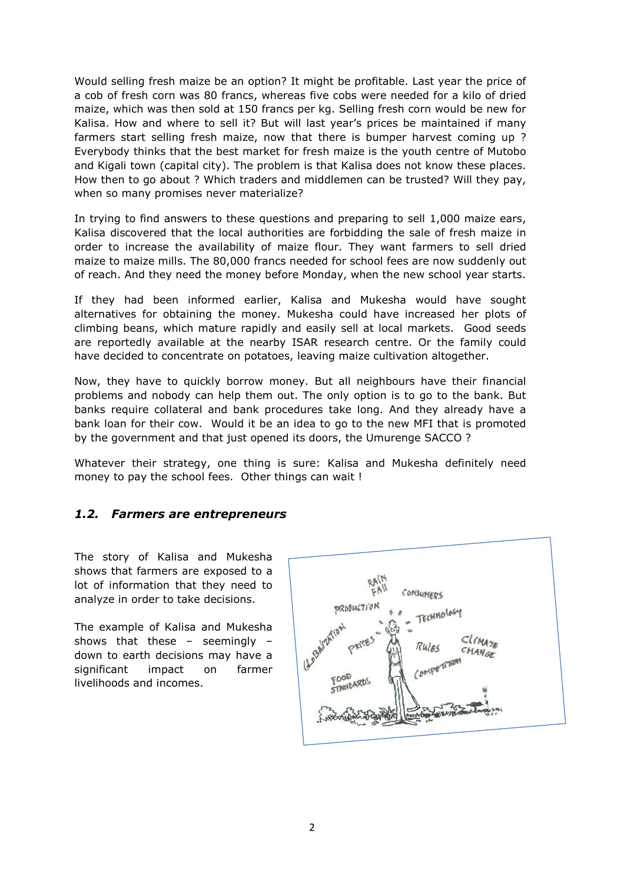Would selling fresh maize be an option? It might be profitable. Last year the price of a cob of fresh corn was 80 francs, whereas five cobs were needed for a kilo of dried maize, which was then sold at 150 francs per kg. Selling fresh corn would be new for Kalisa. How and where to sell it? But will last year's prices be maintained if many farmers start selling fresh maize, now that there is bumper harvest coming up ? Everybody thinks that the best market for fresh maize is the youth centre of Mutobo and Kigali town (capital city). The problem is that Kalisa does not know these places. How then to go about ? Which traders and middlemen can be trusted? Will they pay, when so many promises never materialize?

In trying to find answers to these questions and preparing to sell 1,000 maize ears, Kalisa discovered that the local authorities are forbidding the sale of fresh maize in order to increase the availability of maize flour. They want farmers to sell dried maize to maize mills. The 80,000 francs needed for school fees are now suddenly out of reach. And they need the money before Monday, when the new school year starts.

If they had been informed earlier, Kalisa and Mukesha would have sought alternatives for obtaining the money. Mukesha could have increased her plots of climbing beans, which mature rapidly and easily sell at local markets. Good seeds are reportedly available at the nearby ISAR research centre. Or the family could have decided to concentrate on potatoes, leaving maize cultivation altogether.

Now, they have to quickly borrow money. But all neighbours have their financial problems and nobody can help them out. The only option is to go to the bank. But banks require collateral and bank procedures take long. And they already have a bank loan for their cow. Would it be an idea to go to the new MFI that is promoted by the government and that just opened its doors, the Umurenge SACCO ?

Whatever their strategy, one thing is sure: Kalisa and Mukesha definitely need money to pay the school fees. Other things can wait !

#### *1.2. Farmers are entrepreneurs*

The story of Kalisa and Mukesha shows that farmers are exposed to a lot of information that they need to analyze in order to take decisions.

The example of Kalisa and Mukesha shows that these – seemingly – down to earth decisions may have a significant impact on farmer livelihoods and incomes.

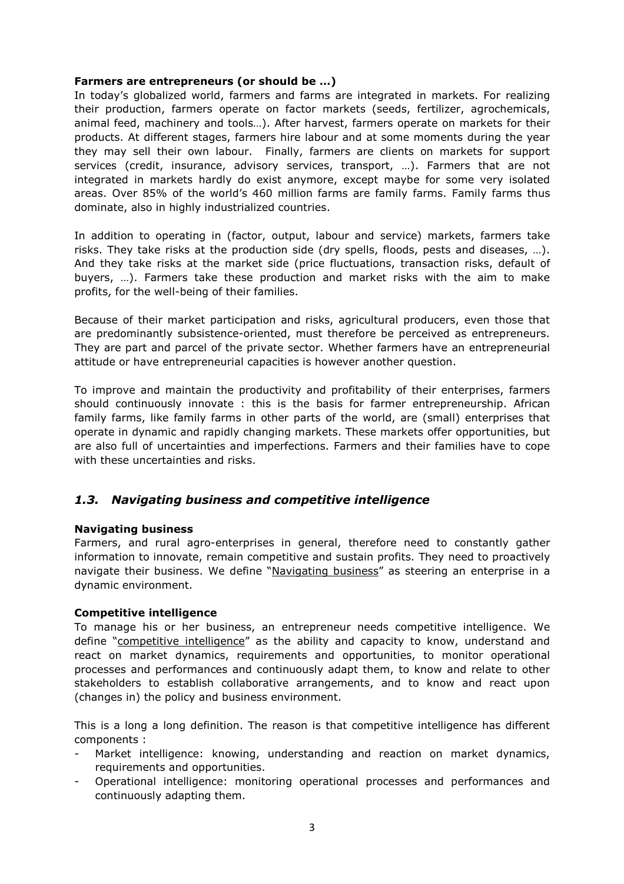#### **Farmers are entrepreneurs (or should be …)**

In today's globalized world, farmers and farms are integrated in markets. For realizing their production, farmers operate on factor markets (seeds, fertilizer, agrochemicals, animal feed, machinery and tools…). After harvest, farmers operate on markets for their products. At different stages, farmers hire labour and at some moments during the year they may sell their own labour. Finally, farmers are clients on markets for support services (credit, insurance, advisory services, transport, …). Farmers that are not integrated in markets hardly do exist anymore, except maybe for some very isolated areas. Over 85% of the world's 460 million farms are family farms. Family farms thus dominate, also in highly industrialized countries.

In addition to operating in (factor, output, labour and service) markets, farmers take risks. They take risks at the production side (dry spells, floods, pests and diseases, …). And they take risks at the market side (price fluctuations, transaction risks, default of buyers, …). Farmers take these production and market risks with the aim to make profits, for the well-being of their families.

Because of their market participation and risks, agricultural producers, even those that are predominantly subsistence-oriented, must therefore be perceived as entrepreneurs. They are part and parcel of the private sector. Whether farmers have an entrepreneurial attitude or have entrepreneurial capacities is however another question.

To improve and maintain the productivity and profitability of their enterprises, farmers should continuously innovate : this is the basis for farmer entrepreneurship. African family farms, like family farms in other parts of the world, are (small) enterprises that operate in dynamic and rapidly changing markets. These markets offer opportunities, but are also full of uncertainties and imperfections. Farmers and their families have to cope with these uncertainties and risks.

## *1.3. Navigating business and competitive intelligence*

#### **Navigating business**

Farmers, and rural agro-enterprises in general, therefore need to constantly gather information to innovate, remain competitive and sustain profits. They need to proactively navigate their business. We define "Navigating business" as steering an enterprise in a dynamic environment.

#### **Competitive intelligence**

To manage his or her business, an entrepreneur needs competitive intelligence. We define "competitive intelligence" as the ability and capacity to know, understand and react on market dynamics, requirements and opportunities, to monitor operational processes and performances and continuously adapt them, to know and relate to other stakeholders to establish collaborative arrangements, and to know and react upon (changes in) the policy and business environment.

This is a long a long definition. The reason is that competitive intelligence has different components :

- Market intelligence: knowing, understanding and reaction on market dynamics, requirements and opportunities.
- Operational intelligence: monitoring operational processes and performances and continuously adapting them.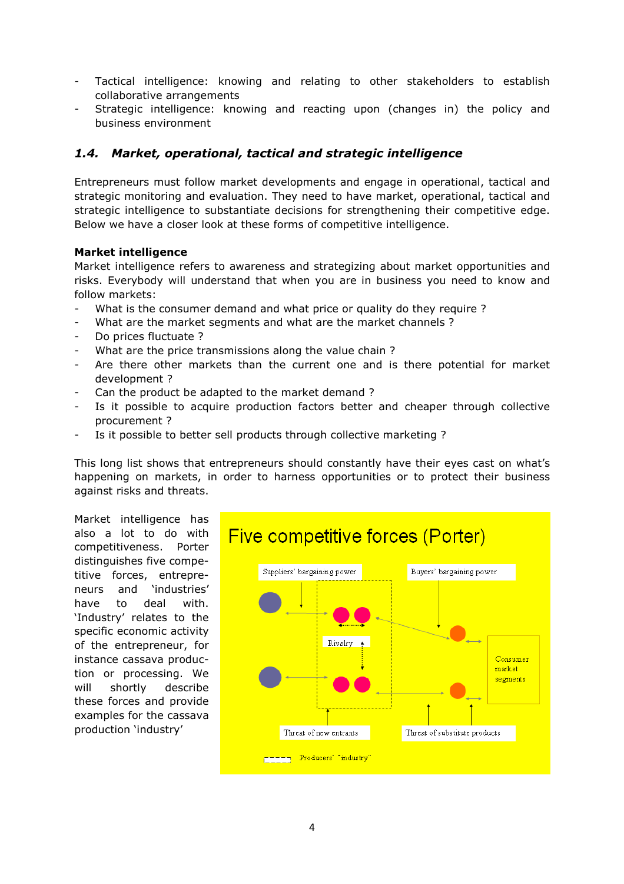- Tactical intelligence: knowing and relating to other stakeholders to establish collaborative arrangements
- Strategic intelligence: knowing and reacting upon (changes in) the policy and business environment

## *1.4. Market, operational, tactical and strategic intelligence*

Entrepreneurs must follow market developments and engage in operational, tactical and strategic monitoring and evaluation. They need to have market, operational, tactical and strategic intelligence to substantiate decisions for strengthening their competitive edge. Below we have a closer look at these forms of competitive intelligence.

#### **Market intelligence**

Market intelligence refers to awareness and strategizing about market opportunities and risks. Everybody will understand that when you are in business you need to know and follow markets:

- What is the consumer demand and what price or quality do they require ?
- What are the market segments and what are the market channels ?
- Do prices fluctuate ?
- What are the price transmissions along the value chain?
- Are there other markets than the current one and is there potential for market development ?
- Can the product be adapted to the market demand ?
- Is it possible to acquire production factors better and cheaper through collective procurement ?
- Is it possible to better sell products through collective marketing ?

This long list shows that entrepreneurs should constantly have their eyes cast on what's happening on markets, in order to harness opportunities or to protect their business against risks and threats.

Market intelligence has also a lot to do with competitiveness. Porter distinguishes five competitive forces, entrepreneurs and 'industries' have to deal with. 'Industry' relates to the specific economic activity of the entrepreneur, for instance cassava production or processing. We will shortly describe these forces and provide examples for the cassava production 'industry'

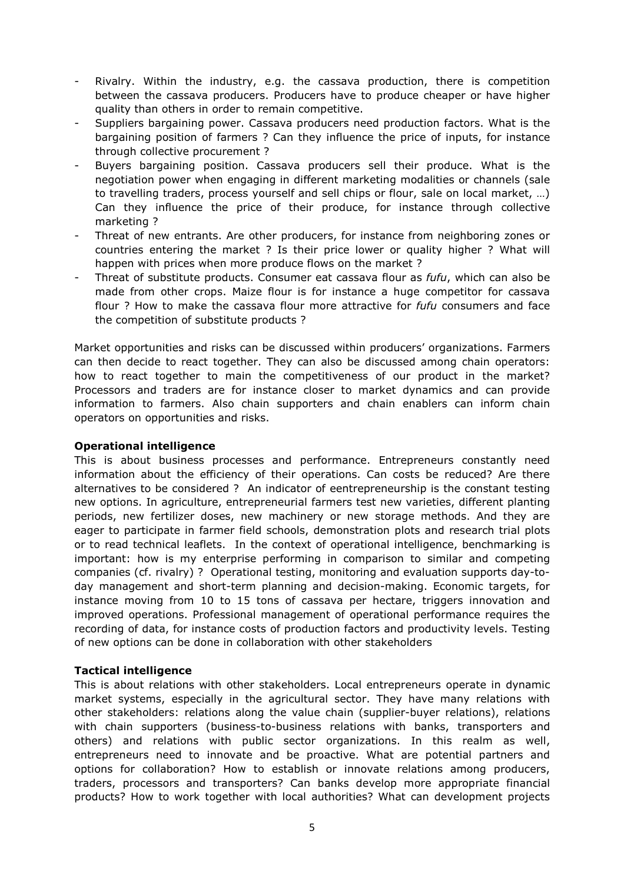- Rivalry. Within the industry, e.g. the cassava production, there is competition between the cassava producers. Producers have to produce cheaper or have higher quality than others in order to remain competitive.
- Suppliers bargaining power. Cassava producers need production factors. What is the bargaining position of farmers ? Can they influence the price of inputs, for instance through collective procurement ?
- Buyers bargaining position. Cassava producers sell their produce. What is the negotiation power when engaging in different marketing modalities or channels (sale to travelling traders, process yourself and sell chips or flour, sale on local market, …) Can they influence the price of their produce, for instance through collective marketing ?
- Threat of new entrants. Are other producers, for instance from neighboring zones or countries entering the market ? Is their price lower or quality higher ? What will happen with prices when more produce flows on the market ?
- Threat of substitute products. Consumer eat cassava flour as *fufu*, which can also be made from other crops. Maize flour is for instance a huge competitor for cassava flour ? How to make the cassava flour more attractive for *fufu* consumers and face the competition of substitute products ?

Market opportunities and risks can be discussed within producers' organizations. Farmers can then decide to react together. They can also be discussed among chain operators: how to react together to main the competitiveness of our product in the market? Processors and traders are for instance closer to market dynamics and can provide information to farmers. Also chain supporters and chain enablers can inform chain operators on opportunities and risks.

#### **Operational intelligence**

This is about business processes and performance. Entrepreneurs constantly need information about the efficiency of their operations. Can costs be reduced? Are there alternatives to be considered ? An indicator of eentrepreneurship is the constant testing new options. In agriculture, entrepreneurial farmers test new varieties, different planting periods, new fertilizer doses, new machinery or new storage methods. And they are eager to participate in farmer field schools, demonstration plots and research trial plots or to read technical leaflets. In the context of operational intelligence, benchmarking is important: how is my enterprise performing in comparison to similar and competing companies (cf. rivalry) ? Operational testing, monitoring and evaluation supports day-today management and short-term planning and decision-making. Economic targets, for instance moving from 10 to 15 tons of cassava per hectare, triggers innovation and improved operations. Professional management of operational performance requires the recording of data, for instance costs of production factors and productivity levels. Testing of new options can be done in collaboration with other stakeholders

#### **Tactical intelligence**

This is about relations with other stakeholders. Local entrepreneurs operate in dynamic market systems, especially in the agricultural sector. They have many relations with other stakeholders: relations along the value chain (supplier-buyer relations), relations with chain supporters (business-to-business relations with banks, transporters and others) and relations with public sector organizations. In this realm as well, entrepreneurs need to innovate and be proactive. What are potential partners and options for collaboration? How to establish or innovate relations among producers, traders, processors and transporters? Can banks develop more appropriate financial products? How to work together with local authorities? What can development projects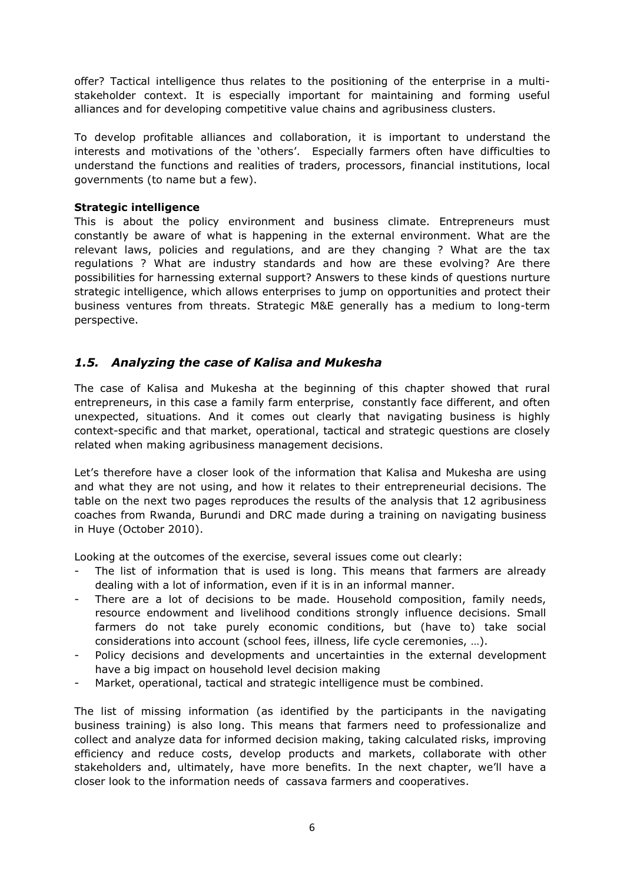offer? Tactical intelligence thus relates to the positioning of the enterprise in a multistakeholder context. It is especially important for maintaining and forming useful alliances and for developing competitive value chains and agribusiness clusters.

To develop profitable alliances and collaboration, it is important to understand the interests and motivations of the 'others'. Especially farmers often have difficulties to understand the functions and realities of traders, processors, financial institutions, local governments (to name but a few).

#### **Strategic intelligence**

This is about the policy environment and business climate. Entrepreneurs must constantly be aware of what is happening in the external environment. What are the relevant laws, policies and regulations, and are they changing ? What are the tax regulations ? What are industry standards and how are these evolving? Are there possibilities for harnessing external support? Answers to these kinds of questions nurture strategic intelligence, which allows enterprises to jump on opportunities and protect their business ventures from threats. Strategic M&E generally has a medium to long-term perspective.

## *1.5. Analyzing the case of Kalisa and Mukesha*

The case of Kalisa and Mukesha at the beginning of this chapter showed that rural entrepreneurs, in this case a family farm enterprise, constantly face different, and often unexpected, situations. And it comes out clearly that navigating business is highly context-specific and that market, operational, tactical and strategic questions are closely related when making agribusiness management decisions.

Let's therefore have a closer look of the information that Kalisa and Mukesha are using and what they are not using, and how it relates to their entrepreneurial decisions. The table on the next two pages reproduces the results of the analysis that 12 agribusiness coaches from Rwanda, Burundi and DRC made during a training on navigating business in Huye (October 2010).

Looking at the outcomes of the exercise, several issues come out clearly:

- The list of information that is used is long. This means that farmers are already dealing with a lot of information, even if it is in an informal manner.
- There are a lot of decisions to be made. Household composition, family needs, resource endowment and livelihood conditions strongly influence decisions. Small farmers do not take purely economic conditions, but (have to) take social considerations into account (school fees, illness, life cycle ceremonies, …).
- Policy decisions and developments and uncertainties in the external development have a big impact on household level decision making
- Market, operational, tactical and strategic intelligence must be combined.

The list of missing information (as identified by the participants in the navigating business training) is also long. This means that farmers need to professionalize and collect and analyze data for informed decision making, taking calculated risks, improving efficiency and reduce costs, develop products and markets, collaborate with other stakeholders and, ultimately, have more benefits. In the next chapter, we'll have a closer look to the information needs of cassava farmers and cooperatives.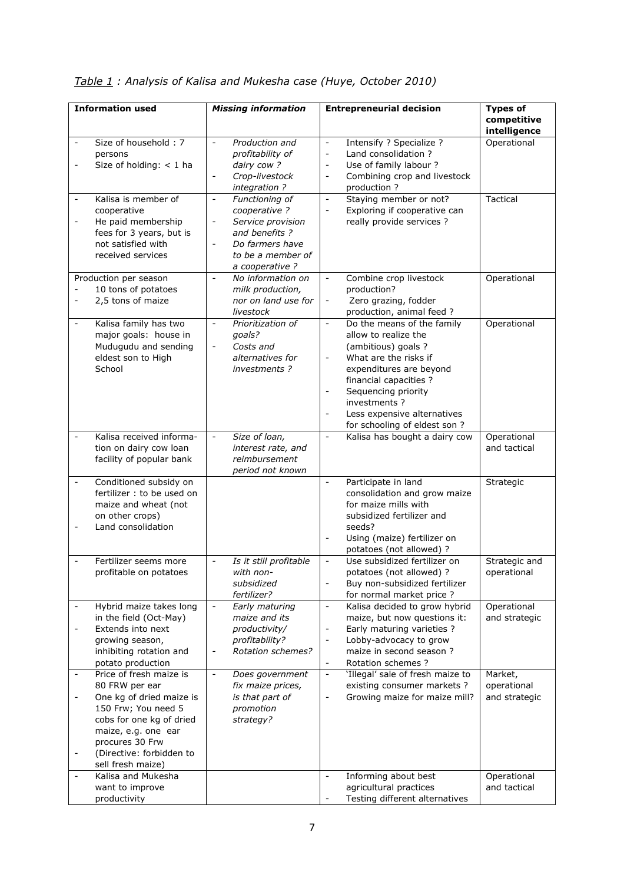| Table 1: Analysis of Kalisa and Mukesha case (Huye, October 2010) |  |  |  |  |
|-------------------------------------------------------------------|--|--|--|--|
|-------------------------------------------------------------------|--|--|--|--|

| <b>Information used</b>      |                            | <b>Missing information</b>                           | <b>Entrepreneurial decision</b>                          |  | <b>Types of</b>             |
|------------------------------|----------------------------|------------------------------------------------------|----------------------------------------------------------|--|-----------------------------|
|                              |                            |                                                      |                                                          |  | competitive<br>intelligence |
| $\blacksquare$               | Size of household: 7       | Production and<br>$\bar{\phantom{a}}$                | $\equiv$                                                 |  |                             |
|                              |                            |                                                      | Intensify ? Specialize ?                                 |  | Operational                 |
|                              | persons                    | profitability of                                     | Land consolidation ?<br>$\overline{\phantom{a}}$         |  |                             |
|                              | Size of holding: $<$ 1 ha  | dairy cow?                                           | Use of family labour ?<br>$\blacksquare$                 |  |                             |
|                              |                            | Crop-livestock<br>$\qquad \qquad \blacksquare$       | Combining crop and livestock<br>$\overline{\phantom{a}}$ |  |                             |
|                              |                            | integration?                                         | production ?                                             |  |                             |
|                              | Kalisa is member of        | Functioning of<br>$\overline{\phantom{a}}$           | Staying member or not?<br>$\overline{\phantom{a}}$       |  | Tactical                    |
|                              | cooperative                | cooperative ?                                        | Exploring if cooperative can<br>$\blacksquare$           |  |                             |
| $\qquad \qquad \blacksquare$ | He paid membership         | Service provision<br>$\overline{\phantom{a}}$        | really provide services ?                                |  |                             |
|                              | fees for 3 years, but is   | and benefits?                                        |                                                          |  |                             |
|                              | not satisfied with         | Do farmers have                                      |                                                          |  |                             |
|                              | received services          | to be a member of                                    |                                                          |  |                             |
|                              |                            | a cooperative?                                       |                                                          |  |                             |
|                              |                            |                                                      |                                                          |  |                             |
|                              | Production per season      | No information on<br>$\overline{\phantom{a}}$        | Combine crop livestock<br>$\blacksquare$                 |  | Operational                 |
|                              | 10 tons of potatoes        | milk production,                                     | production?                                              |  |                             |
|                              | 2,5 tons of maize          | nor on land use for                                  | Zero grazing, fodder                                     |  |                             |
|                              |                            | livestock                                            | production, animal feed ?                                |  |                             |
| $\blacksquare$               | Kalisa family has two      | $\blacksquare$<br>Prioritization of                  | $\equiv$<br>Do the means of the family                   |  | Operational                 |
|                              | major goals: house in      | qoals?                                               | allow to realize the                                     |  |                             |
|                              | Mudugudu and sending       | Costs and<br>$\overline{\phantom{a}}$                | (ambitious) goals ?                                      |  |                             |
|                              | eldest son to High         | alternatives for                                     | What are the risks if                                    |  |                             |
|                              | School                     | investments?                                         | expenditures are beyond                                  |  |                             |
|                              |                            |                                                      | financial capacities ?                                   |  |                             |
|                              |                            |                                                      | $\overline{\phantom{a}}$                                 |  |                             |
|                              |                            |                                                      | Sequencing priority                                      |  |                             |
|                              |                            |                                                      | investments ?                                            |  |                             |
|                              |                            |                                                      | Less expensive alternatives                              |  |                             |
|                              |                            |                                                      | for schooling of eldest son ?                            |  |                             |
|                              | Kalisa received informa-   | Size of loan,<br>$\blacksquare$                      | Kalisa has bought a dairy cow<br>$\sim$                  |  | Operational                 |
|                              | tion on dairy cow loan     | interest rate, and                                   |                                                          |  | and tactical                |
|                              | facility of popular bank   | reimbursement                                        |                                                          |  |                             |
|                              |                            | period not known                                     |                                                          |  |                             |
|                              | Conditioned subsidy on     |                                                      | Participate in land<br>$\equiv$                          |  | Strategic                   |
|                              | fertilizer : to be used on |                                                      | consolidation and grow maize                             |  |                             |
|                              | maize and wheat (not       |                                                      | for maize mills with                                     |  |                             |
|                              | on other crops)            |                                                      | subsidized fertilizer and                                |  |                             |
|                              | Land consolidation         |                                                      | seeds?                                                   |  |                             |
|                              |                            |                                                      | Using (maize) fertilizer on                              |  |                             |
|                              |                            |                                                      | potatoes (not allowed) ?                                 |  |                             |
|                              | Fertilizer seems more      |                                                      | Use subsidized fertilizer on                             |  |                             |
|                              |                            | Is it still profitable<br>$\Box$                     | $\blacksquare$                                           |  | Strategic and               |
|                              | profitable on potatoes     | with non-                                            | potatoes (not allowed) ?                                 |  | operational                 |
|                              |                            | subsidized                                           | Buy non-subsidized fertilizer                            |  |                             |
|                              |                            | fertilizer?                                          | for normal market price?                                 |  |                             |
|                              | Hybrid maize takes long    | $\Box$<br>Early maturing                             | Kalisa decided to grow hybrid<br>$\blacksquare$          |  | Operational                 |
|                              | in the field (Oct-May)     | maize and its                                        | maize, but now questions it:                             |  | and strategic               |
| $\qquad \qquad \blacksquare$ | Extends into next          | productivity/                                        | Early maturing varieties ?                               |  |                             |
|                              | growing season,            | profitability?                                       | Lobby-advocacy to grow                                   |  |                             |
|                              | inhibiting rotation and    | <b>Rotation schemes?</b><br>$\overline{\phantom{m}}$ | maize in second season?                                  |  |                             |
|                              | potato production          |                                                      | Rotation schemes ?<br>$\blacksquare$                     |  |                             |
|                              | Price of fresh maize is    | Does government<br>$\blacksquare$                    | 'Illegal' sale of fresh maize to<br>$\blacksquare$       |  | Market,                     |
|                              | 80 FRW per ear             | fix maize prices,                                    | existing consumer markets ?                              |  | operational                 |
|                              | One kg of dried maize is   | is that part of                                      | Growing maize for maize mill?<br>$\blacksquare$          |  | and strategic               |
|                              | 150 Frw; You need 5        | promotion                                            |                                                          |  |                             |
|                              | cobs for one kg of dried   | strategy?                                            |                                                          |  |                             |
|                              |                            |                                                      |                                                          |  |                             |
|                              | maize, e.g. one ear        |                                                      |                                                          |  |                             |
|                              | procures 30 Frw            |                                                      |                                                          |  |                             |
|                              | (Directive: forbidden to   |                                                      |                                                          |  |                             |
|                              | sell fresh maize)          |                                                      |                                                          |  |                             |
|                              | Kalisa and Mukesha         |                                                      | Informing about best<br>$\blacksquare$                   |  | Operational                 |
|                              | want to improve            |                                                      | agricultural practices                                   |  | and tactical                |
|                              | productivity               |                                                      | Testing different alternatives                           |  |                             |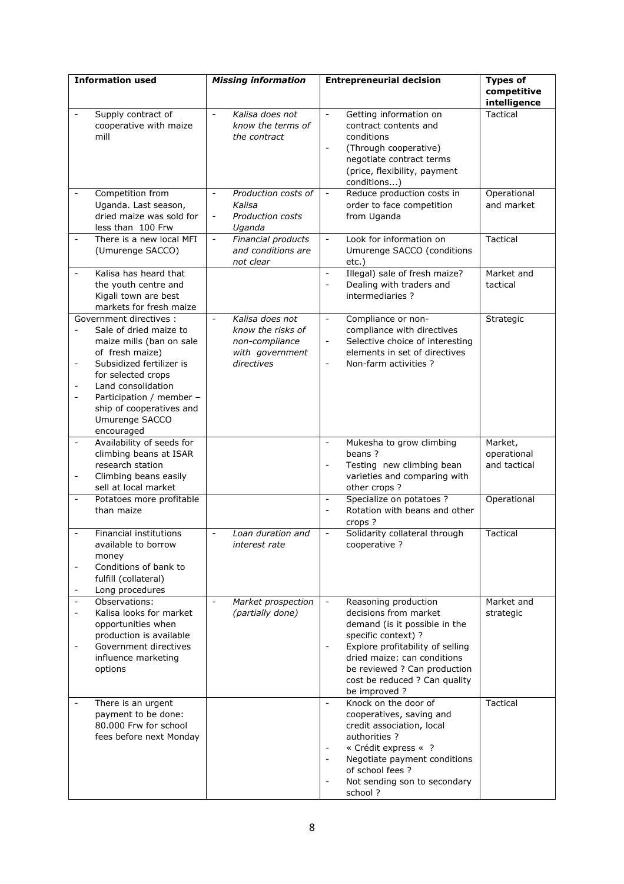| <b>Information used</b>  |                           | <b>Missing information</b>                      | <b>Entrepreneurial decision</b>                           | <b>Types of</b> |
|--------------------------|---------------------------|-------------------------------------------------|-----------------------------------------------------------|-----------------|
|                          |                           |                                                 |                                                           | competitive     |
|                          |                           |                                                 |                                                           | intelligence    |
| $\overline{\phantom{a}}$ | Supply contract of        | Kalisa does not<br>$\omega$                     | Getting information on<br>$\sim$                          | <b>Tactical</b> |
|                          | cooperative with maize    | know the terms of                               | contract contents and                                     |                 |
|                          | mill                      | the contract                                    | conditions                                                |                 |
|                          |                           |                                                 | (Through cooperative)                                     |                 |
|                          |                           |                                                 | negotiate contract terms                                  |                 |
|                          |                           |                                                 | (price, flexibility, payment                              |                 |
|                          |                           |                                                 | conditions)                                               |                 |
|                          | Competition from          | Production costs of<br>$\overline{\phantom{a}}$ | Reduce production costs in<br>$\blacksquare$              | Operational     |
|                          | Uganda. Last season,      | Kalisa                                          | order to face competition                                 | and market      |
|                          | dried maize was sold for  | Production costs<br>$\overline{\phantom{a}}$    | from Uganda                                               |                 |
|                          | less than 100 Frw         | Uganda                                          |                                                           |                 |
|                          | There is a new local MFI  | Financial products<br>$\overline{\phantom{a}}$  | Look for information on<br>$\overline{\phantom{a}}$       | Tactical        |
|                          | (Umurenge SACCO)          | and conditions are                              | Umurenge SACCO (conditions                                |                 |
|                          |                           | not clear                                       | $etc.$ )                                                  |                 |
|                          | Kalisa has heard that     |                                                 | Illegal) sale of fresh maize?<br>$\overline{\phantom{a}}$ | Market and      |
|                          | the youth centre and      |                                                 | Dealing with traders and<br>$\overline{\phantom{a}}$      | tactical        |
|                          | Kigali town are best      |                                                 | intermediaries?                                           |                 |
|                          | markets for fresh maize   |                                                 |                                                           |                 |
|                          | Government directives :   | Kalisa does not<br>$\sim$                       | Compliance or non-<br>$\blacksquare$                      | Strategic       |
|                          | Sale of dried maize to    | know the risks of                               | compliance with directives                                |                 |
|                          | maize mills (ban on sale  | non-compliance                                  | Selective choice of interesting<br>$\blacksquare$         |                 |
|                          | of fresh maize)           | with government                                 | elements in set of directives                             |                 |
| $\overline{\phantom{a}}$ | Subsidized fertilizer is  | directives                                      | Non-farm activities ?<br>$\blacksquare$                   |                 |
|                          | for selected crops        |                                                 |                                                           |                 |
|                          | Land consolidation        |                                                 |                                                           |                 |
| $\blacksquare$           | Participation / member -  |                                                 |                                                           |                 |
|                          | ship of cooperatives and  |                                                 |                                                           |                 |
|                          | Umurenge SACCO            |                                                 |                                                           |                 |
|                          | encouraged                |                                                 |                                                           |                 |
| $\Box$                   | Availability of seeds for |                                                 | Mukesha to grow climbing<br>$\blacksquare$                | Market,         |
|                          | climbing beans at ISAR    |                                                 | beans?                                                    | operational     |
|                          | research station          |                                                 | Testing new climbing bean<br>$\overline{\phantom{a}}$     | and tactical    |
| $\overline{\phantom{a}}$ | Climbing beans easily     |                                                 | varieties and comparing with                              |                 |
|                          | sell at local market      |                                                 | other crops?                                              |                 |
| $\overline{a}$           | Potatoes more profitable  |                                                 | Specialize on potatoes ?<br>$\equiv$                      | Operational     |
|                          | than maize                |                                                 | Rotation with beans and other<br>$\overline{\phantom{a}}$ |                 |
|                          |                           |                                                 | crops ?                                                   |                 |
|                          | Financial institutions    | Loan duration and<br>$\overline{\phantom{a}}$   | Solidarity collateral through<br>$\blacksquare$           | Tactical        |
|                          | available to borrow       | interest rate                                   | cooperative ?                                             |                 |
|                          | money                     |                                                 |                                                           |                 |
|                          | Conditions of bank to     |                                                 |                                                           |                 |
|                          | fulfill (collateral)      |                                                 |                                                           |                 |
|                          | Long procedures           |                                                 |                                                           |                 |
|                          | Observations:             | Market prospection<br>$\overline{\phantom{a}}$  | Reasoning production<br>$\blacksquare$                    | Market and      |
|                          | Kalisa looks for market   | (partially done)                                | decisions from market                                     | strategic       |
|                          | opportunities when        |                                                 | demand (is it possible in the                             |                 |
|                          | production is available   |                                                 | specific context) ?                                       |                 |
|                          | Government directives     |                                                 | Explore profitability of selling                          |                 |
|                          | influence marketing       |                                                 | dried maize: can conditions                               |                 |
|                          | options                   |                                                 | be reviewed ? Can production                              |                 |
|                          |                           |                                                 | cost be reduced ? Can quality                             |                 |
|                          |                           |                                                 | be improved?                                              |                 |
|                          | There is an urgent        |                                                 | Knock on the door of                                      | Tactical        |
|                          | payment to be done:       |                                                 | cooperatives, saving and                                  |                 |
|                          | 80.000 Frw for school     |                                                 | credit association, local                                 |                 |
|                          | fees before next Monday   |                                                 | authorities ?                                             |                 |
|                          |                           |                                                 | « Crédit express « ?                                      |                 |
|                          |                           |                                                 | Negotiate payment conditions                              |                 |
|                          |                           |                                                 | of school fees ?                                          |                 |
|                          |                           |                                                 | Not sending son to secondary<br>$\overline{\phantom{a}}$  |                 |
|                          |                           |                                                 | school ?                                                  |                 |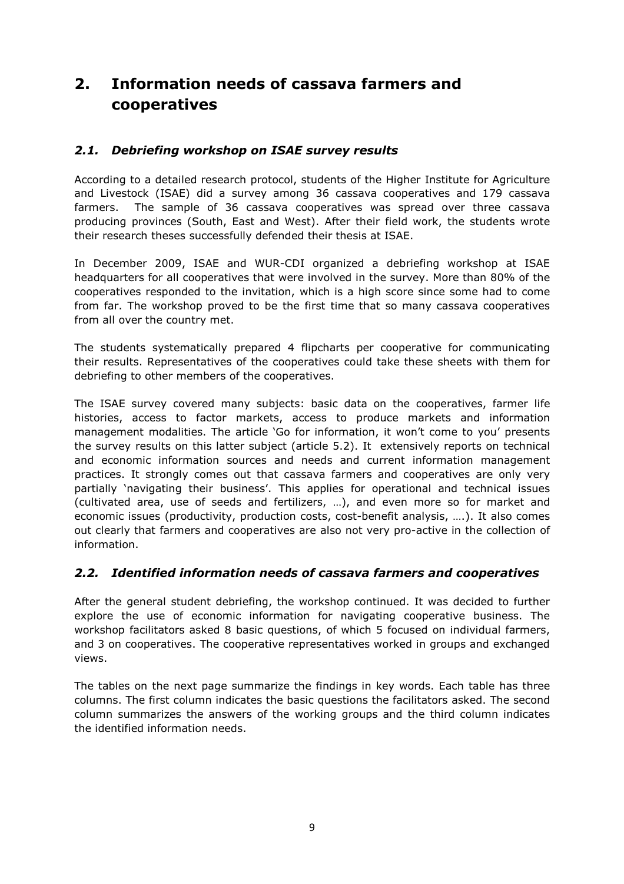# **2. Information needs of cassava farmers and cooperatives**

## *2.1. Debriefing workshop on ISAE survey results*

According to a detailed research protocol, students of the Higher Institute for Agriculture and Livestock (ISAE) did a survey among 36 cassava cooperatives and 179 cassava farmers. The sample of 36 cassava cooperatives was spread over three cassava producing provinces (South, East and West). After their field work, the students wrote their research theses successfully defended their thesis at ISAE.

In December 2009, ISAE and WUR-CDI organized a debriefing workshop at ISAE headquarters for all cooperatives that were involved in the survey. More than 80% of the cooperatives responded to the invitation, which is a high score since some had to come from far. The workshop proved to be the first time that so many cassava cooperatives from all over the country met.

The students systematically prepared 4 flipcharts per cooperative for communicating their results. Representatives of the cooperatives could take these sheets with them for debriefing to other members of the cooperatives.

The ISAE survey covered many subjects: basic data on the cooperatives, farmer life histories, access to factor markets, access to produce markets and information management modalities. The article 'Go for information, it won't come to you' presents the survey results on this latter subject (article 5.2). It extensively reports on technical and economic information sources and needs and current information management practices. It strongly comes out that cassava farmers and cooperatives are only very partially 'navigating their business'. This applies for operational and technical issues (cultivated area, use of seeds and fertilizers, …), and even more so for market and economic issues (productivity, production costs, cost-benefit analysis, ….). It also comes out clearly that farmers and cooperatives are also not very pro-active in the collection of information.

## *2.2. Identified information needs of cassava farmers and cooperatives*

After the general student debriefing, the workshop continued. It was decided to further explore the use of economic information for navigating cooperative business. The workshop facilitators asked 8 basic questions, of which 5 focused on individual farmers, and 3 on cooperatives. The cooperative representatives worked in groups and exchanged views.

The tables on the next page summarize the findings in key words. Each table has three columns. The first column indicates the basic questions the facilitators asked. The second column summarizes the answers of the working groups and the third column indicates the identified information needs.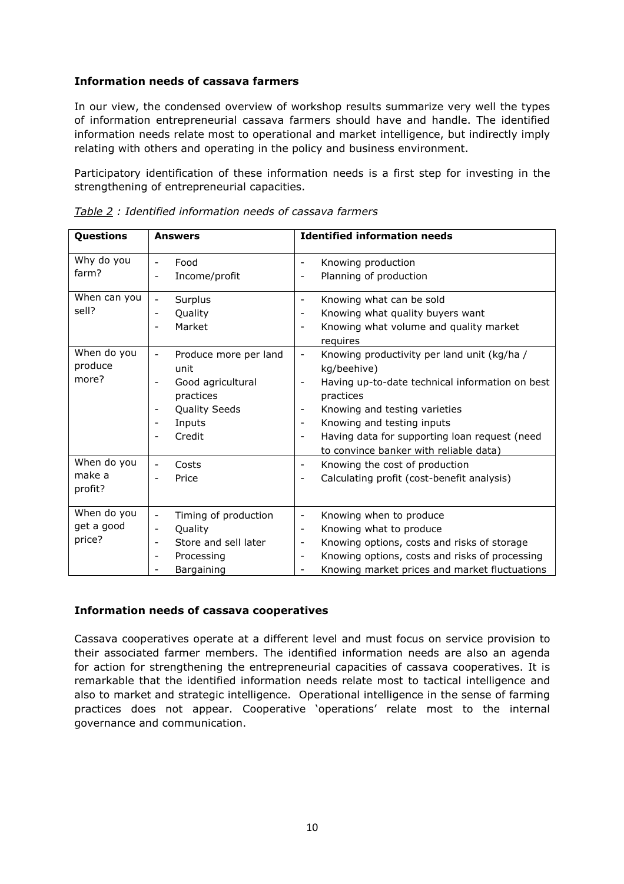#### **Information needs of cassava farmers**

In our view, the condensed overview of workshop results summarize very well the types of information entrepreneurial cassava farmers should have and handle. The identified information needs relate most to operational and market intelligence, but indirectly imply relating with others and operating in the policy and business environment.

Participatory identification of these information needs is a first step for investing in the strengthening of entrepreneurial capacities.

| Questions    | <b>Answers</b>                                    | <b>Identified information needs</b>                                         |
|--------------|---------------------------------------------------|-----------------------------------------------------------------------------|
| Why do you   | Food<br>$\overline{\phantom{a}}$                  | Knowing production                                                          |
| farm?        | Income/profit<br>$\overline{\phantom{a}}$         | Planning of production                                                      |
| When can you | Surplus<br>$\overline{\phantom{a}}$               | Knowing what can be sold                                                    |
| sell?        | Quality<br>$\overline{\phantom{a}}$               | Knowing what quality buyers want                                            |
|              | Market<br>$\overline{\phantom{a}}$                | Knowing what volume and quality market<br>requires                          |
| When do you  | Produce more per land<br>$\overline{\phantom{a}}$ | Knowing productivity per land unit (kg/ha /<br>$\blacksquare$               |
| produce      | unit                                              | kg/beehive)                                                                 |
| more?        | Good agricultural<br>$\overline{\phantom{a}}$     | Having up-to-date technical information on best<br>$\overline{\phantom{a}}$ |
|              | practices                                         | practices                                                                   |
|              | Quality Seeds<br>$\overline{\phantom{a}}$         | Knowing and testing varieties                                               |
|              | Inputs                                            | Knowing and testing inputs                                                  |
|              | Credit                                            | Having data for supporting loan request (need                               |
|              |                                                   | to convince banker with reliable data)                                      |
| When do you  | Costs                                             | Knowing the cost of production                                              |
| make a       | Price<br>$\overline{\phantom{0}}$                 | Calculating profit (cost-benefit analysis)                                  |
| profit?      |                                                   |                                                                             |
| When do you  | Timing of production<br>$\overline{\phantom{a}}$  | Knowing when to produce<br>$\overline{\phantom{a}}$                         |
| get a good   | Quality<br>$\overline{\phantom{a}}$               | Knowing what to produce<br>$\overline{\phantom{a}}$                         |
| price?       | Store and sell later<br>$\overline{\phantom{a}}$  | Knowing options, costs and risks of storage<br>$\overline{\phantom{a}}$     |
|              | Processing<br>$\overline{\phantom{a}}$            | Knowing options, costs and risks of processing<br>$\overline{\phantom{a}}$  |
|              | Bargaining<br>$\qquad \qquad -$                   | Knowing market prices and market fluctuations                               |

*Table 2 : Identified information needs of cassava farmers* 

#### **Information needs of cassava cooperatives**

Cassava cooperatives operate at a different level and must focus on service provision to their associated farmer members. The identified information needs are also an agenda for action for strengthening the entrepreneurial capacities of cassava cooperatives. It is remarkable that the identified information needs relate most to tactical intelligence and also to market and strategic intelligence. Operational intelligence in the sense of farming practices does not appear. Cooperative 'operations' relate most to the internal governance and communication.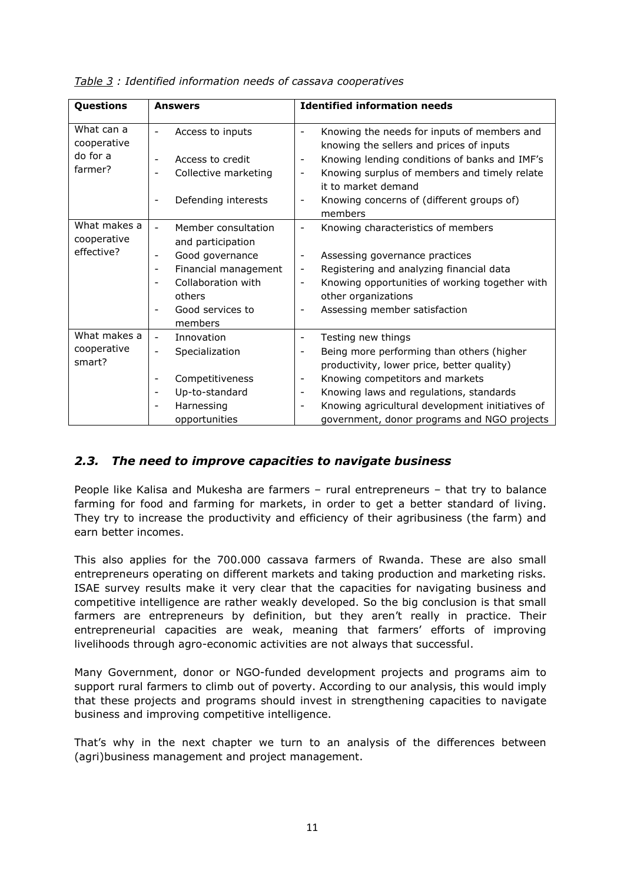| Questions                                        | <b>Answers</b>                                                                                                                                                                                                                                                                       | <b>Identified information needs</b>                                                                                                                                                                                                                                                                                                                                    |
|--------------------------------------------------|--------------------------------------------------------------------------------------------------------------------------------------------------------------------------------------------------------------------------------------------------------------------------------------|------------------------------------------------------------------------------------------------------------------------------------------------------------------------------------------------------------------------------------------------------------------------------------------------------------------------------------------------------------------------|
| What can a<br>cooperative<br>do for a<br>farmer? | Access to inputs<br>$\overline{\phantom{a}}$<br>Access to credit<br>$\overline{\phantom{a}}$<br>Collective marketing<br>$\overline{\phantom{a}}$<br>Defending interests<br>$\overline{\phantom{a}}$                                                                                  | Knowing the needs for inputs of members and<br>knowing the sellers and prices of inputs<br>Knowing lending conditions of banks and IMF's<br>$\overline{\phantom{a}}$<br>Knowing surplus of members and timely relate<br>$\overline{\phantom{a}}$<br>it to market demand<br>Knowing concerns of (different groups of)<br>$\overline{\phantom{a}}$<br>members            |
| What makes a<br>cooperative<br>effective?        | Member consultation<br>$\blacksquare$<br>and participation<br>Good governance<br>$\overline{\phantom{a}}$<br>Financial management<br>$\overline{\phantom{a}}$<br>Collaboration with<br>$\overline{\phantom{a}}$<br>others<br>Good services to<br>$\overline{\phantom{a}}$<br>members | Knowing characteristics of members<br>$\overline{\phantom{a}}$<br>Assessing governance practices<br>$\overline{\phantom{a}}$<br>Registering and analyzing financial data<br>$\overline{\phantom{a}}$<br>Knowing opportunities of working together with<br>$\overline{\phantom{a}}$<br>other organizations<br>Assessing member satisfaction<br>$\overline{\phantom{a}}$ |
| What makes a<br>cooperative<br>smart?            | Innovation<br>$\overline{\phantom{a}}$<br>Specialization<br>$\overline{\phantom{a}}$<br>Competitiveness<br>$\qquad \qquad -$<br>Up-to-standard<br>$\overline{\phantom{a}}$<br>Harnessing<br>$\overline{\phantom{a}}$<br>opportunities                                                | Testing new things<br>٠<br>Being more performing than others (higher<br>productivity, lower price, better quality)<br>Knowing competitors and markets<br>$\overline{\phantom{a}}$<br>Knowing laws and regulations, standards<br>$\overline{\phantom{a}}$<br>Knowing agricultural development initiatives of<br>government, donor programs and NGO projects             |

*Table 3 : Identified information needs of cassava cooperatives* 

## *2.3. The need to improve capacities to navigate business*

People like Kalisa and Mukesha are farmers – rural entrepreneurs – that try to balance farming for food and farming for markets, in order to get a better standard of living. They try to increase the productivity and efficiency of their agribusiness (the farm) and earn better incomes.

This also applies for the 700.000 cassava farmers of Rwanda. These are also small entrepreneurs operating on different markets and taking production and marketing risks. ISAE survey results make it very clear that the capacities for navigating business and competitive intelligence are rather weakly developed. So the big conclusion is that small farmers are entrepreneurs by definition, but they aren't really in practice. Their entrepreneurial capacities are weak, meaning that farmers' efforts of improving livelihoods through agro-economic activities are not always that successful.

Many Government, donor or NGO-funded development projects and programs aim to support rural farmers to climb out of poverty. According to our analysis, this would imply that these projects and programs should invest in strengthening capacities to navigate business and improving competitive intelligence.

That's why in the next chapter we turn to an analysis of the differences between (agri)business management and project management.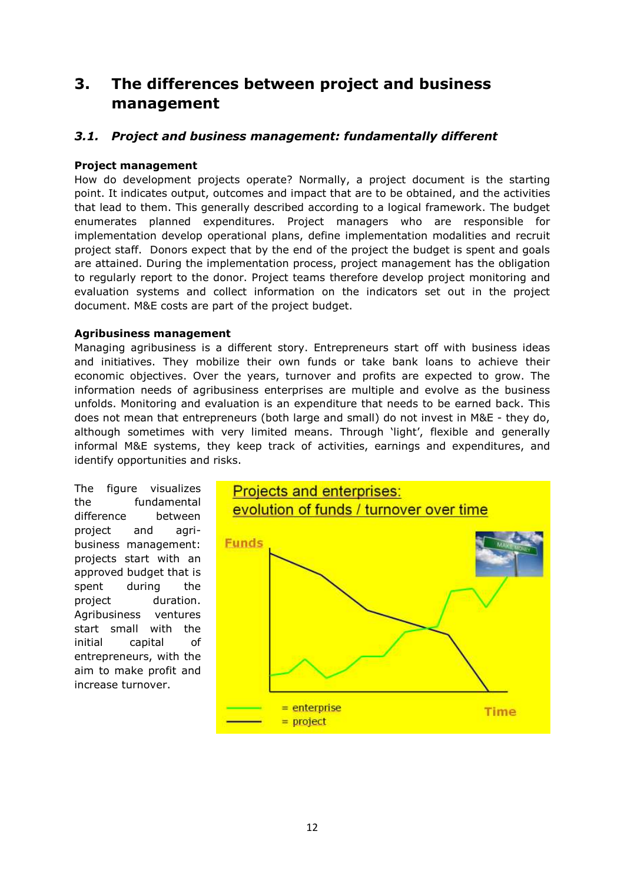# **3. The differences between project and business management**

## *3.1. Project and business management: fundamentally different*

### **Project management**

How do development projects operate? Normally, a project document is the starting point. It indicates output, outcomes and impact that are to be obtained, and the activities that lead to them. This generally described according to a logical framework. The budget enumerates planned expenditures. Project managers who are responsible for implementation develop operational plans, define implementation modalities and recruit project staff. Donors expect that by the end of the project the budget is spent and goals are attained. During the implementation process, project management has the obligation to regularly report to the donor. Project teams therefore develop project monitoring and evaluation systems and collect information on the indicators set out in the project document. M&E costs are part of the project budget.

#### **Agribusiness management**

Managing agribusiness is a different story. Entrepreneurs start off with business ideas and initiatives. They mobilize their own funds or take bank loans to achieve their economic objectives. Over the years, turnover and profits are expected to grow. The information needs of agribusiness enterprises are multiple and evolve as the business unfolds. Monitoring and evaluation is an expenditure that needs to be earned back. This does not mean that entrepreneurs (both large and small) do not invest in M&E - they do, although sometimes with very limited means. Through 'light', flexible and generally informal M&E systems, they keep track of activities, earnings and expenditures, and identify opportunities and risks.

The figure visualizes the fundamental difference between project and agribusiness management: projects start with an approved budget that is spent during the project duration. Agribusiness ventures start small with the initial capital of entrepreneurs, with the aim to make profit and increase turnover.

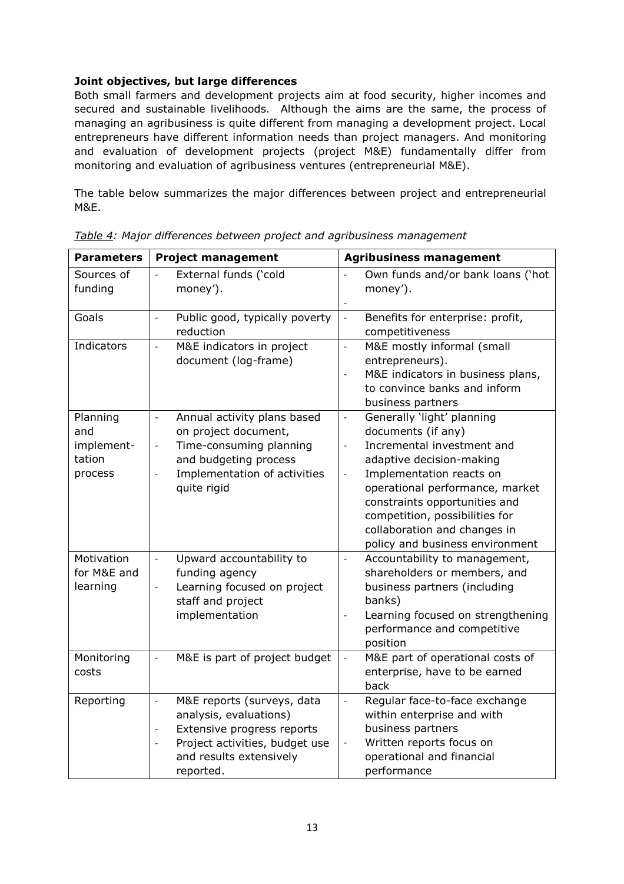### **Joint objectives, but large differences**

Both small farmers and development projects aim at food security, higher incomes and secured and sustainable livelihoods. Although the aims are the same, the process of managing an agribusiness is quite different from managing a development project. Local entrepreneurs have different information needs than project managers. And monitoring and evaluation of development projects (project M&E) fundamentally differ from monitoring and evaluation of agribusiness ventures (entrepreneurial M&E).

The table below summarizes the major differences between project and entrepreneurial M&E.

| <b>Parameters</b>                                  | <b>Project management</b>                                                                                                                                                                                                                | <b>Agribusiness management</b>                                                                                                                                                                                                                                                                                                                                                            |
|----------------------------------------------------|------------------------------------------------------------------------------------------------------------------------------------------------------------------------------------------------------------------------------------------|-------------------------------------------------------------------------------------------------------------------------------------------------------------------------------------------------------------------------------------------------------------------------------------------------------------------------------------------------------------------------------------------|
| Sources of<br>funding                              | External funds ('cold<br>money').                                                                                                                                                                                                        | Own funds and/or bank loans ('hot<br>money').                                                                                                                                                                                                                                                                                                                                             |
| Goals                                              | Public good, typically poverty<br>$\overline{\phantom{a}}$<br>reduction                                                                                                                                                                  | Benefits for enterprise: profit,<br>$\frac{1}{2}$<br>competitiveness                                                                                                                                                                                                                                                                                                                      |
| Indicators                                         | M&E indicators in project<br>$\frac{1}{2}$<br>document (log-frame)                                                                                                                                                                       | M&E mostly informal (small<br>$\overline{\phantom{a}}$<br>entrepreneurs).<br>M&E indicators in business plans,<br>$\overline{a}$<br>to convince banks and inform<br>business partners                                                                                                                                                                                                     |
| Planning<br>and<br>implement-<br>tation<br>process | Annual activity plans based<br>$\blacksquare$<br>on project document,<br>Time-consuming planning<br>$\qquad \qquad \blacksquare$<br>and budgeting process<br>Implementation of activities<br>$\qquad \qquad \blacksquare$<br>quite rigid | Generally 'light' planning<br>$\overline{\phantom{a}}$<br>documents (if any)<br>Incremental investment and<br>$\overline{a}$<br>adaptive decision-making<br>Implementation reacts on<br>$\overline{\phantom{a}}$<br>operational performance, market<br>constraints opportunities and<br>competition, possibilities for<br>collaboration and changes in<br>policy and business environment |
| Motivation<br>for M&E and<br>learning              | Upward accountability to<br>$\overline{\phantom{a}}$<br>funding agency<br>Learning focused on project<br>staff and project<br>implementation                                                                                             | Accountability to management,<br>$\overline{a}$<br>shareholders or members, and<br>business partners (including<br>banks)<br>Learning focused on strengthening<br>$\overline{\phantom{m}}$<br>performance and competitive<br>position                                                                                                                                                     |
| Monitoring<br>costs                                | M&E is part of project budget                                                                                                                                                                                                            | M&E part of operational costs of<br>$\frac{1}{2}$<br>enterprise, have to be earned<br>back                                                                                                                                                                                                                                                                                                |
| Reporting                                          | M&E reports (surveys, data<br>$\overline{\phantom{a}}$<br>analysis, evaluations)<br>Extensive progress reports<br>Project activities, budget use<br>$\overline{a}$<br>and results extensively<br>reported.                               | Regular face-to-face exchange<br>$\overline{a}$<br>within enterprise and with<br>business partners<br>Written reports focus on<br>$\overline{\phantom{a}}$<br>operational and financial<br>performance                                                                                                                                                                                    |

*Table 4: Major differences between project and agribusiness management*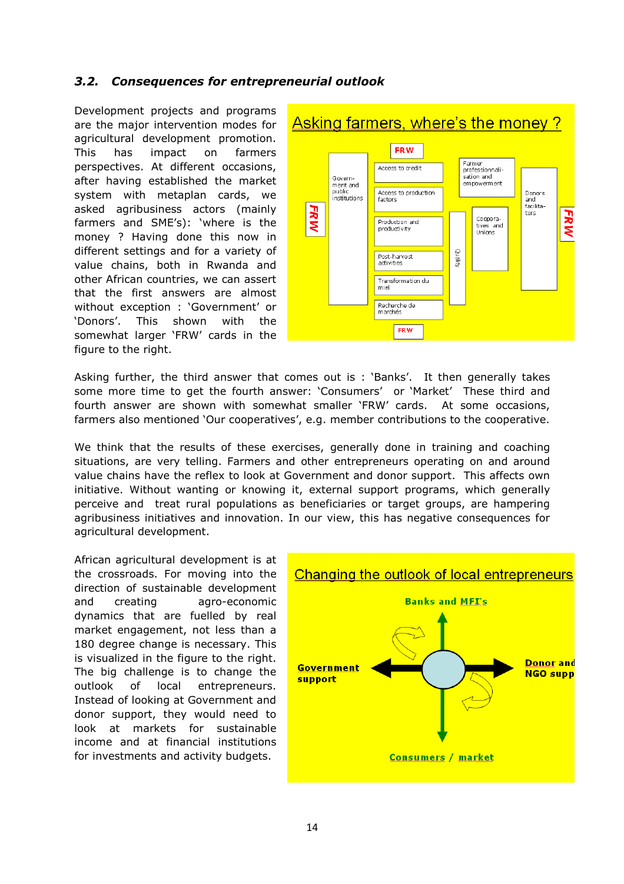## *3.2. Consequences for entrepreneurial outlook*

Development projects and programs are the major intervention modes for agricultural development promotion. This has impact on farmers perspectives. At different occasions, after having established the market system with metaplan cards, we asked agribusiness actors (mainly farmers and SME's): 'where is the money ? Having done this now in different settings and for a variety of value chains, both in Rwanda and other African countries, we can assert that the first answers are almost without exception : 'Government' or 'Donors'. This shown with the somewhat larger 'FRW' cards in the figure to the right.



Asking further, the third answer that comes out is : 'Banks'. It then generally takes some more time to get the fourth answer: 'Consumers' or 'Market' These third and fourth answer are shown with somewhat smaller 'FRW' cards. At some occasions, farmers also mentioned 'Our cooperatives', e.g. member contributions to the cooperative.

We think that the results of these exercises, generally done in training and coaching situations, are very telling. Farmers and other entrepreneurs operating on and around value chains have the reflex to look at Government and donor support. This affects own initiative. Without wanting or knowing it, external support programs, which generally perceive and treat rural populations as beneficiaries or target groups, are hampering agribusiness initiatives and innovation. In our view, this has negative consequences for agricultural development.

African agricultural development is at the crossroads. For moving into the direction of sustainable development and creating agro-economic dynamics that are fuelled by real market engagement, not less than a 180 degree change is necessary. This is visualized in the figure to the right. The big challenge is to change the outlook of local entrepreneurs. Instead of looking at Government and donor support, they would need to look at markets for sustainable income and at financial institutions for investments and activity budgets.

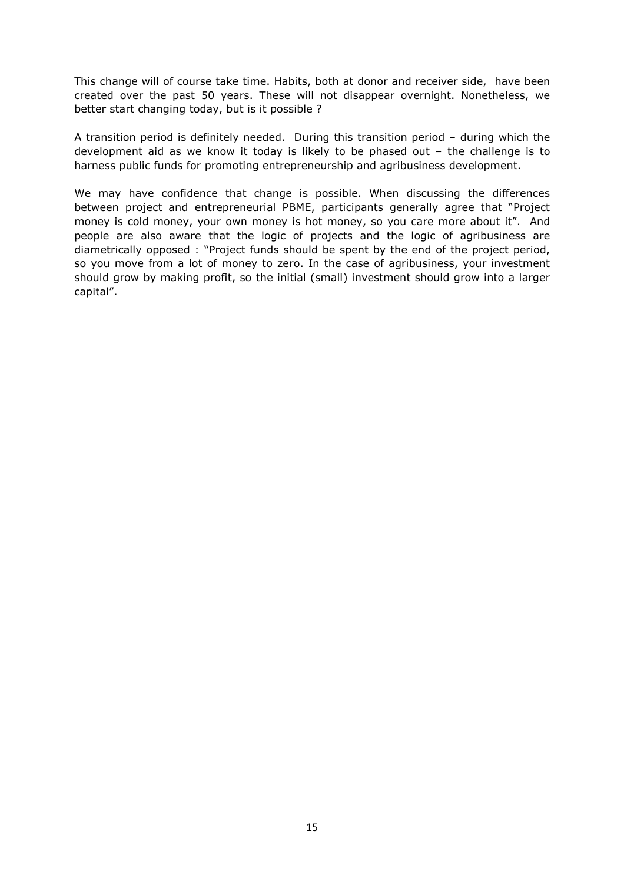This change will of course take time. Habits, both at donor and receiver side, have been created over the past 50 years. These will not disappear overnight. Nonetheless, we better start changing today, but is it possible ?

A transition period is definitely needed. During this transition period – during which the development aid as we know it today is likely to be phased out – the challenge is to harness public funds for promoting entrepreneurship and agribusiness development.

We may have confidence that change is possible. When discussing the differences between project and entrepreneurial PBME, participants generally agree that "Project money is cold money, your own money is hot money, so you care more about it". And people are also aware that the logic of projects and the logic of agribusiness are diametrically opposed : "Project funds should be spent by the end of the project period, so you move from a lot of money to zero. In the case of agribusiness, your investment should grow by making profit, so the initial (small) investment should grow into a larger capital".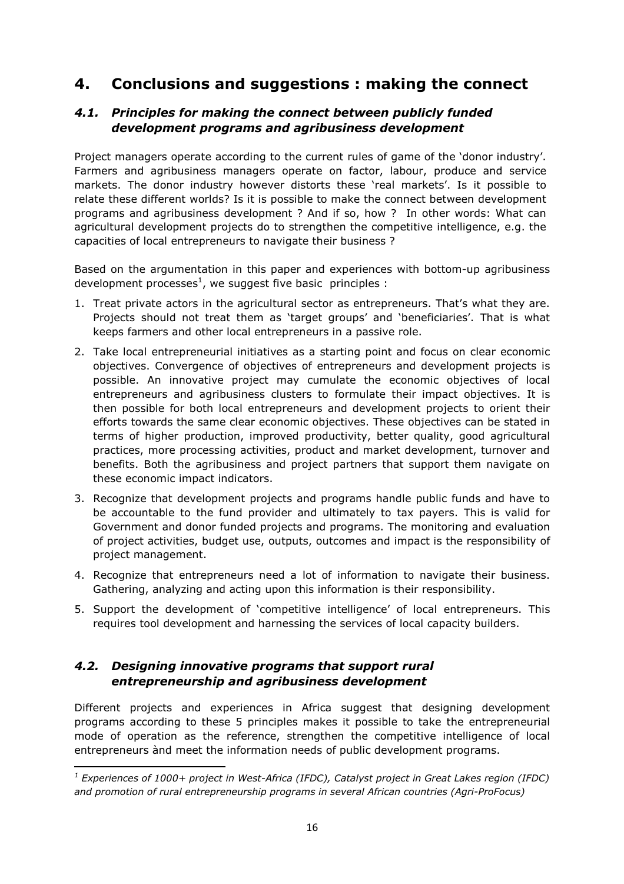# **4. Conclusions and suggestions : making the connect**

## *4.1. Principles for making the connect between publicly funded development programs and agribusiness development*

Project managers operate according to the current rules of game of the 'donor industry'. Farmers and agribusiness managers operate on factor, labour, produce and service markets. The donor industry however distorts these 'real markets'. Is it possible to relate these different worlds? Is it is possible to make the connect between development programs and agribusiness development ? And if so, how ? In other words: What can agricultural development projects do to strengthen the competitive intelligence, e.g. the capacities of local entrepreneurs to navigate their business ?

Based on the argumentation in this paper and experiences with bottom-up agribusiness development processes<sup>1</sup>, we suggest five basic principles :

- 1. Treat private actors in the agricultural sector as entrepreneurs. That's what they are. Projects should not treat them as 'target groups' and 'beneficiaries'. That is what keeps farmers and other local entrepreneurs in a passive role.
- 2. Take local entrepreneurial initiatives as a starting point and focus on clear economic objectives. Convergence of objectives of entrepreneurs and development projects is possible. An innovative project may cumulate the economic objectives of local entrepreneurs and agribusiness clusters to formulate their impact objectives. It is then possible for both local entrepreneurs and development projects to orient their efforts towards the same clear economic objectives. These objectives can be stated in terms of higher production, improved productivity, better quality, good agricultural practices, more processing activities, product and market development, turnover and benefits. Both the agribusiness and project partners that support them navigate on these economic impact indicators.
- 3. Recognize that development projects and programs handle public funds and have to be accountable to the fund provider and ultimately to tax payers. This is valid for Government and donor funded projects and programs. The monitoring and evaluation of project activities, budget use, outputs, outcomes and impact is the responsibility of project management.
- 4. Recognize that entrepreneurs need a lot of information to navigate their business. Gathering, analyzing and acting upon this information is their responsibility.
- 5. Support the development of 'competitive intelligence' of local entrepreneurs. This requires tool development and harnessing the services of local capacity builders.

## *4.2. Designing innovative programs that support rural entrepreneurship and agribusiness development*

l

Different projects and experiences in Africa suggest that designing development programs according to these 5 principles makes it possible to take the entrepreneurial mode of operation as the reference, strengthen the competitive intelligence of local entrepreneurs ànd meet the information needs of public development programs.

*<sup>1</sup> Experiences of 1000+ project in West-Africa (IFDC), Catalyst project in Great Lakes region (IFDC) and promotion of rural entrepreneurship programs in several African countries (Agri-ProFocus)*